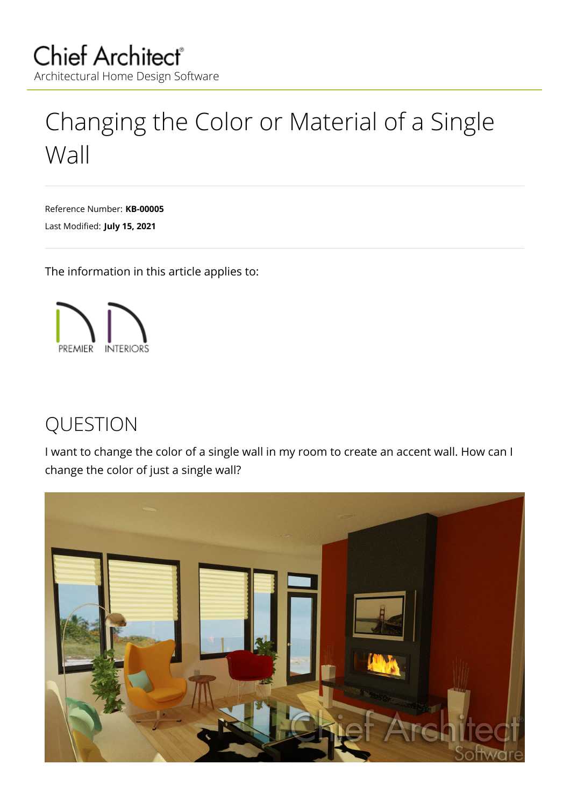# <span id="page-0-0"></span>Changing the Color or Material of a Single Wall

Reference Number: **KB-00005** Last Modified: **July 15, 2021**

The information in this article applies to:



## QUESTION

I want to change the color of a single wall in my room to create an accent wall. How can I change the color of just a single wall?

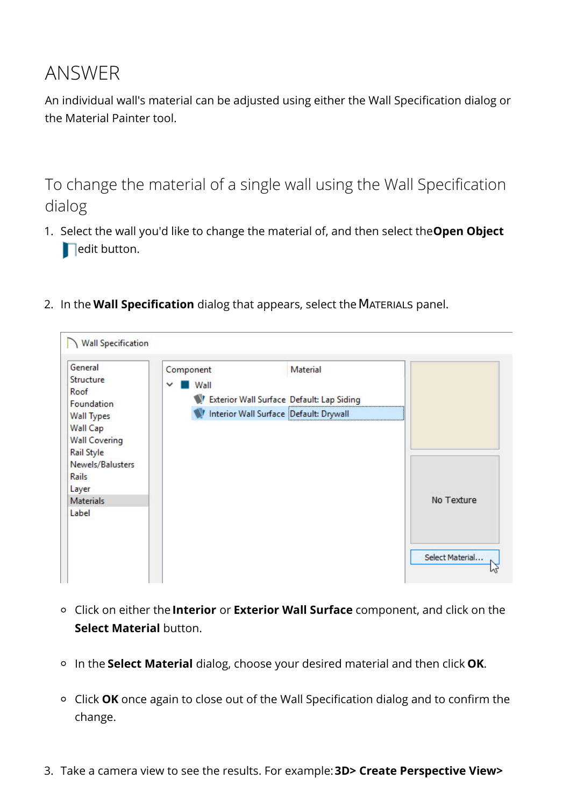### ANSWER

An individual wall's material can be adjusted using either the Wall Specification dialog or the Material Painter tool.

To change the material of a single wall using the Wall Specification dialog

- 1. Select the wall you'd like to change the material of, and then select the**Open Object**  $\blacksquare$ edit button.
- 2. In the **Wall Specification** dialog that appears, select theMATERIALS panel.



- Click on either the **Interior** or **Exterior Wall Surface** component, and click on the **Select Material** button.
- In the **Select Material** dialog, choose your desired material and then click **OK**.
- Click **OK** once again to close out of the Wall Specification dialog and to confirm the change.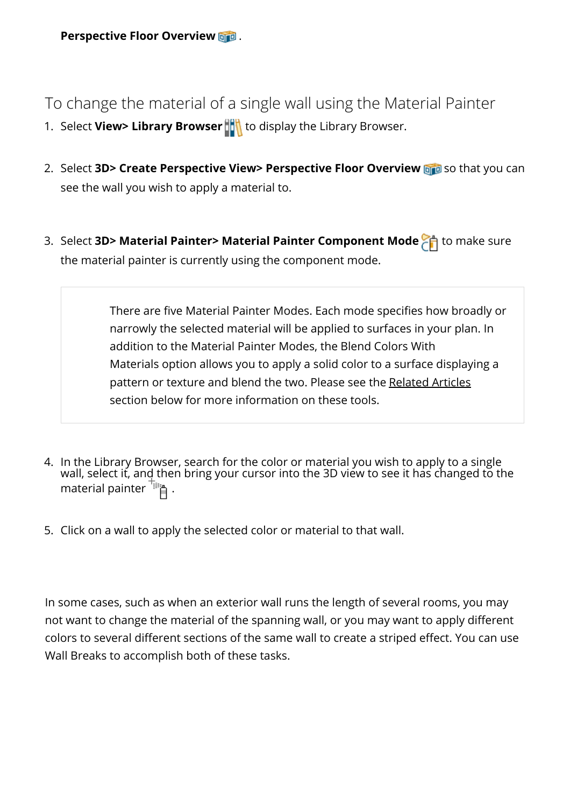**Perspective Floor Overview** .

To change the material of a single wall using the Material Painter

- 1. Select **View> Library Browser** the display the Library Browser.
- 2. Select **3D> Create Perspective View> Perspective Floor Overview** so that you can see the wall you wish to apply a material to.
- 3. Select **3D> Material Painter> Material Painter Component Mode** to make sure the material painter is currently using the component mode.

There are five Material Painter Modes. Each mode specifies how broadly or narrowly the selected material will be applied to surfaces in your plan. In addition to the Material Painter Modes, the Blend Colors With Materials option allows you to apply a solid color to a surface displaying a pattern or texture and blend the two. Please see the [Related](#page-0-0) Articles section below for more information on these tools.

- 4. In the Library Browser, search for the color or material you wish to apply to a single wall, select it, and then bring your cursor into the 3D view to see it has changed to the material painter  $\overline{B}$ .
- 5. Click on a wall to apply the selected color or material to that wall.

In some cases, such as when an exterior wall runs the length of several rooms, you may not want to change the material of the spanning wall, or you may want to apply different colors to several different sections of the same wall to create a striped effect. You can use Wall Breaks to accomplish both of these tasks.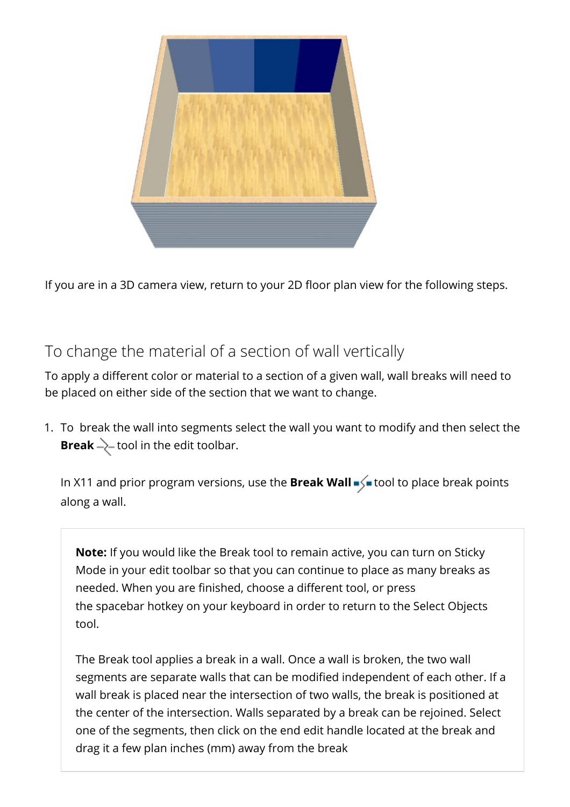

If you are in a 3D camera view, return to your 2D floor plan view for the following steps.

### To change the material of a section of wall vertically

To apply a different color or material to a section of a given wall, wall breaks will need to be placed on either side of the section that we want to change.

1. To break the wall into segments select the wall you want to modify and then select the **Break**  $\geq$  tool in the edit toolbar.

In X11 and prior program versions, use the **Break Wall**  $\leq$  tool to place break points along a wall.

**Note:** If you would like the Break tool to remain active, you can turn on Sticky Mode in your edit toolbar so that you can continue to place as many breaks as needed. When you are finished, choose a different tool, or press the spacebar hotkey on your keyboard in order to return to the Select Objects tool.

The Break tool applies a break in a wall. Once a wall is broken, the two wall segments are separate walls that can be modified independent of each other. If a wall break is placed near the intersection of two walls, the break is positioned at the center of the intersection. Walls separated by a break can be rejoined. Select one of the segments, then click on the end edit handle located at the break and drag it a few plan inches (mm) away from the break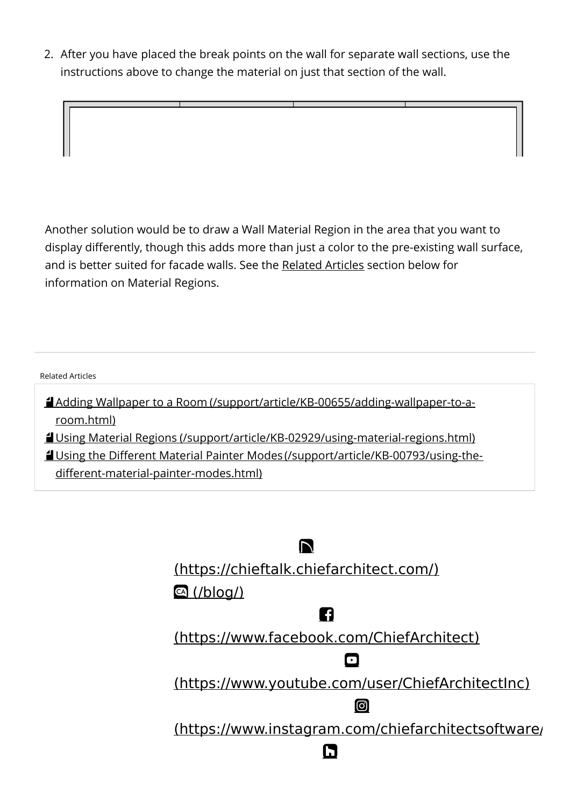2. After you have placed the break points on the wall for separate wall sections, use the instructions above to change the material on just that section of the wall.

Another solution would be to draw a Wall Material Region in the area that you want to display differently, though this adds more than just a color to the pre-existing wall surface, and is better suited for facade walls. See the [Related](#page-0-0) Articles section below for information on Material Regions.

#### Related Articles

Adding Wallpaper to a Room [\(/support/article/KB-00655/adding-wallpaper-to-a](/support/article/KB-00655/adding-wallpaper-to-a-room.html)room.html)

Using Material Regions [\(/support/article/KB-02929/using-material-regions.html\)](/support/article/KB-02929/using-material-regions.html)

Using the Different Material Painter Modes (/support/article/KB-00793/using-the[different-material-painter-modes.html\)](/support/article/KB-00793/using-the-different-material-painter-modes.html)